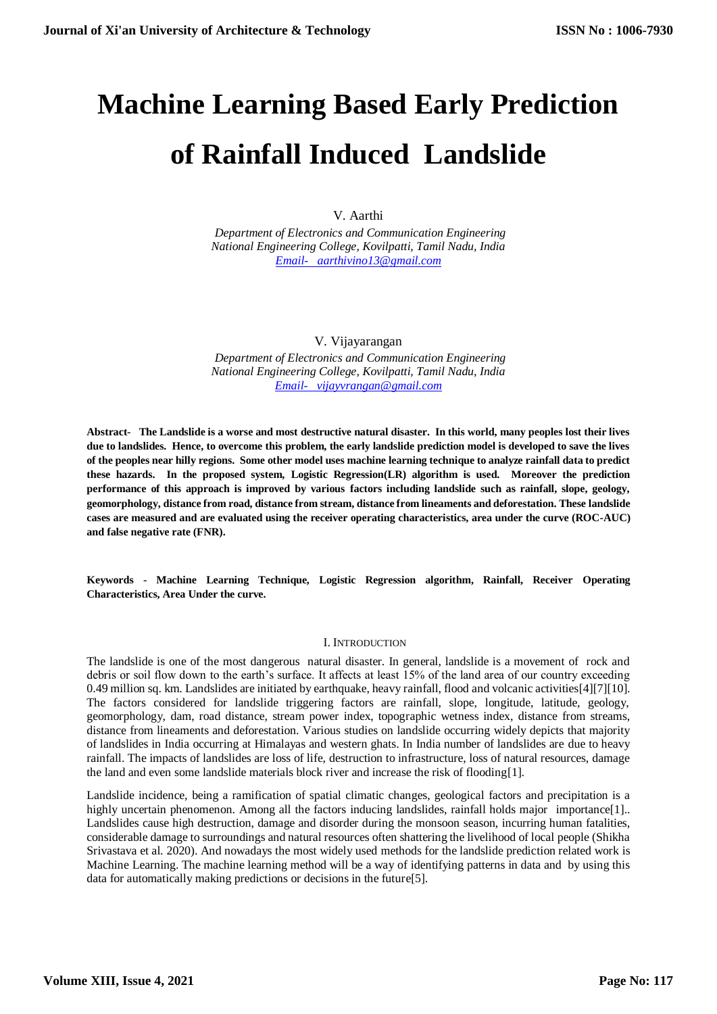# **Machine Learning Based Early Prediction of Rainfall Induced Landslide**

V. Aarthi

 *Department of Electronics and Communication Engineering National Engineering College, Kovilpatti, Tamil Nadu, India [Email- aarthivino13@gmail.com](mailto:Email-%20%20%20aarthivino13@gmail.com)*

# V. Vijayarangan

 *Department of Electronics and Communication Engineering National Engineering College, Kovilpatti, Tamil Nadu, India [Email- vijayvrangan@gmail.com](mailto:Email-%20%20%20vijayvrangan@gmail.com)*

**Abstract- The Landslide is a worse and most destructive natural disaster. In this world, many peoples lost their lives due to landslides. Hence, to overcome this problem, the early landslide prediction model is developed to save the lives of the peoples near hilly regions. Some other model uses machine learning technique to analyze rainfall data to predict these hazards. In the proposed system, Logistic Regression(LR) algorithm is used. Moreover the prediction performance of this approach is improved by various factors including landslide such as rainfall, slope, geology, geomorphology, distance from road, distance from stream, distance from lineaments and deforestation. These landslide cases are measured and are evaluated using the receiver operating characteristics, area under the curve (ROC-AUC) and false negative rate (FNR).**

**Keywords - Machine Learning Technique, Logistic Regression algorithm, Rainfall, Receiver Operating Characteristics, Area Under the curve.**

#### I. INTRODUCTION

The landslide is one of the most dangerous natural disaster. In general, landslide is a movement of rock and debris or soil flow down to the earth's surface. It affects at least 15% of the land area of our country exceeding 0.49 million sq. km. Landslides are initiated by earthquake, heavy rainfall, flood and volcanic activities[4][7][10]. The factors considered for landslide triggering factors are rainfall, slope, longitude, latitude, geology, geomorphology, dam, road distance, stream power index, topographic wetness index, distance from streams, distance from lineaments and deforestation. Various studies on landslide occurring widely depicts that majority of landslides in India occurring at Himalayas and western ghats. In India number of landslides are due to heavy rainfall. The impacts of landslides are loss of life, destruction to infrastructure, loss of natural resources, damage the land and even some landslide materials block river and increase the risk of flooding[1].

Landslide incidence, being a ramification of spatial climatic changes, geological factors and precipitation is a highly uncertain phenomenon. Among all the factors inducing landslides, rainfall holds major importance[1].. Landslides cause high destruction, damage and disorder during the monsoon season, incurring human fatalities, considerable damage to surroundings and natural resources often shattering the livelihood of local people (Shikha Srivastava et al. 2020). And nowadays the most widely used methods for the landslide prediction related work is Machine Learning. The machine learning method will be a way of identifying patterns in data and by using this data for automatically making predictions or decisions in the future[5].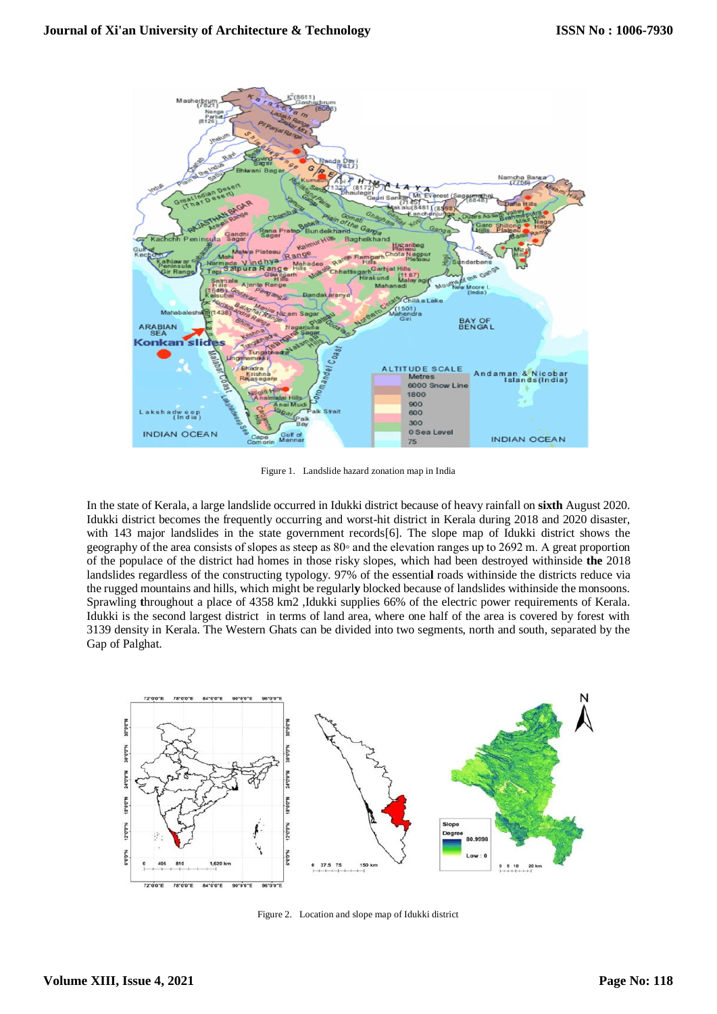

Figure 1. Landslide hazard zonation map in India

In the state of Kerala, a large landslide occurred in Idukki district because of heavy rainfall on **sixth** August 2020. Idukki district becomes the frequently occurring and worst-hit district in Kerala during 2018 and 2020 disaster, with 143 major landslides in the state government records[6]. The slope map of Idukki district shows the geography of the area consists of slopes as steep as 80◦ and the elevation ranges up to 2692 m. A great proportion of the populace of the district had homes in those risky slopes, which had been destroyed withinside **the** 2018 landslides regardless of the constructing typology. 97% of the essentia**l** roads withinside the districts reduce via the rugged mountains and hills, which might be regularl**y** blocked because of landslides withinside the monsoons. Sprawling **t**hroughout a place of 4358 km2 ,Idukki supplies 66% of the electric power requirements of Kerala. Idukki is the second largest district in terms of land area, where one half of the area is covered by forest with 3139 density in Kerala. The Western Ghats can be divided into two segments, north and south, separated by the Gap of Palghat.



Figure 2. Location and slope map of Idukki district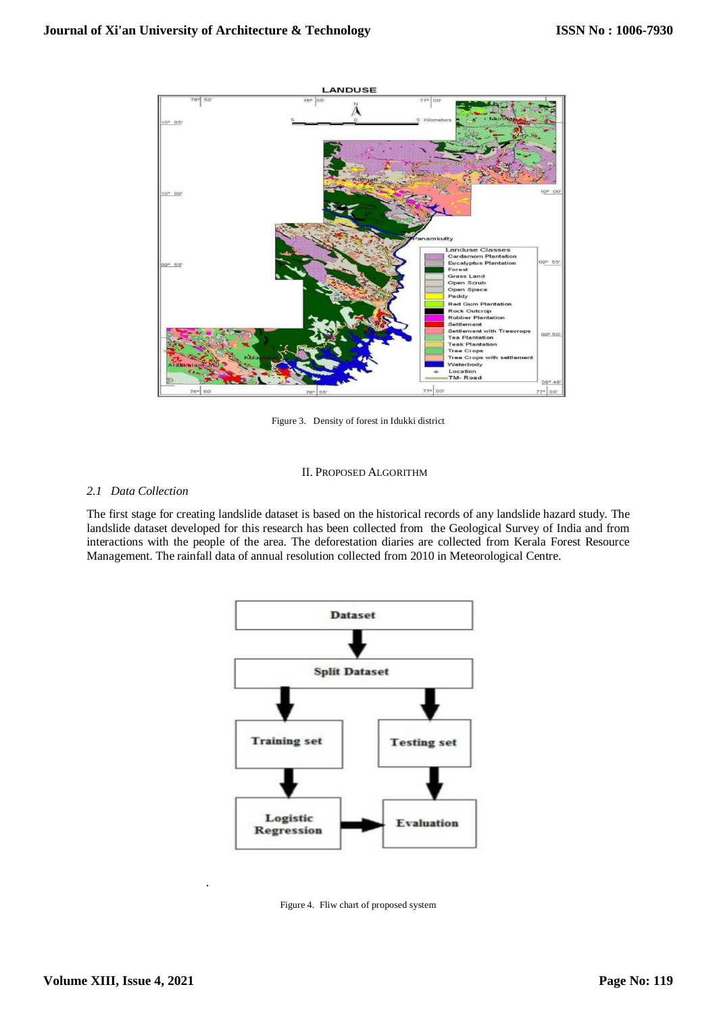

Figure 3. Density of forest in Idukki district

## II. PROPOSED ALGORITHM

## *2.1 Data Collection*

The first stage for creating landslide dataset is based on the historical records of any landslide hazard study. The landslide dataset developed for this research has been collected from the Geological Survey of India and from interactions with the people of the area. The deforestation diaries are collected from Kerala Forest Resource Management. The rainfall data of annual resolution collected from 2010 in Meteorological Centre.



Figure 4. Fliw chart of proposed system

.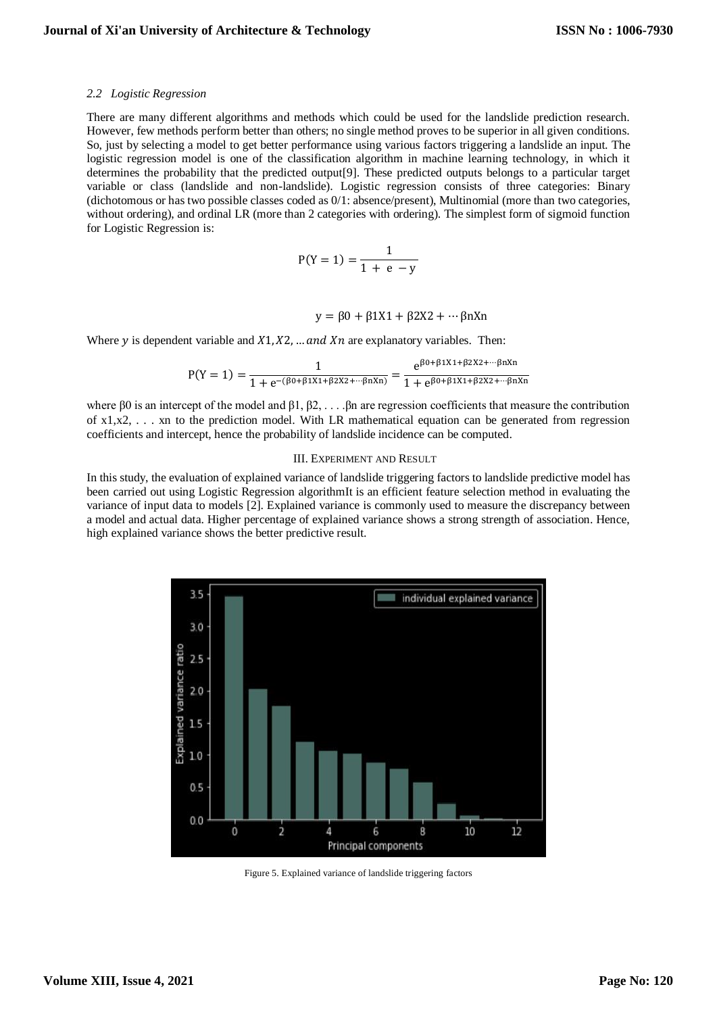#### *2.2 Logistic Regression*

There are many different algorithms and methods which could be used for the landslide prediction research. However, few methods perform better than others; no single method proves to be superior in all given conditions. So, just by selecting a model to get better performance using various factors triggering a landslide an input. The logistic regression model is one of the classification algorithm in machine learning technology, in which it determines the probability that the predicted output[9]. These predicted outputs belongs to a particular target variable or class (landslide and non-landslide). Logistic regression consists of three categories: Binary (dichotomous or has two possible classes coded as 0/1: absence/present), Multinomial (more than two categories, without ordering), and ordinal LR (more than 2 categories with ordering). The simplest form of sigmoid function for Logistic Regression is:

$$
P(Y=1) = \frac{1}{1+e-y}
$$

$$
y = \beta 0 + \beta 1X1 + \beta 2X2 + \cdots \beta nXn
$$

Where y is dependent variable and  $X_1, X_2, \ldots$  and  $X_n$  are explanatory variables. Then:

$$
P(Y = 1) = \frac{1}{1 + e^{-(\beta_0 + \beta_1 X_1 + \beta_2 X_2 + \cdots + \beta_n X_n)}} = \frac{e^{\beta_0 + \beta_1 X_1 + \beta_2 X_2 + \cdots + \beta_n X_n}}{1 + e^{\beta_0 + \beta_1 X_1 + \beta_2 X_2 + \cdots + \beta_n X_n}}
$$

where  $\beta$ 0 is an intercept of the model and  $\beta$ 1,  $\beta$ 2, ... . $\beta$ n are regression coefficients that measure the contribution of  $x1, x2, \ldots$  xn to the prediction model. With LR mathematical equation can be generated from regression coefficients and intercept, hence the probability of landslide incidence can be computed.

#### III. EXPERIMENT AND RESULT

In this study, the evaluation of explained variance of landslide triggering factors to landslide predictive model has been carried out using Logistic Regression algorithmIt is an efficient feature selection method in evaluating the variance of input data to models [2]. Explained variance is commonly used to measure the discrepancy between a model and actual data. Higher percentage of explained variance shows a strong strength of association. Hence, high explained variance shows the better predictive result.



Figure 5. Explained variance of landslide triggering factors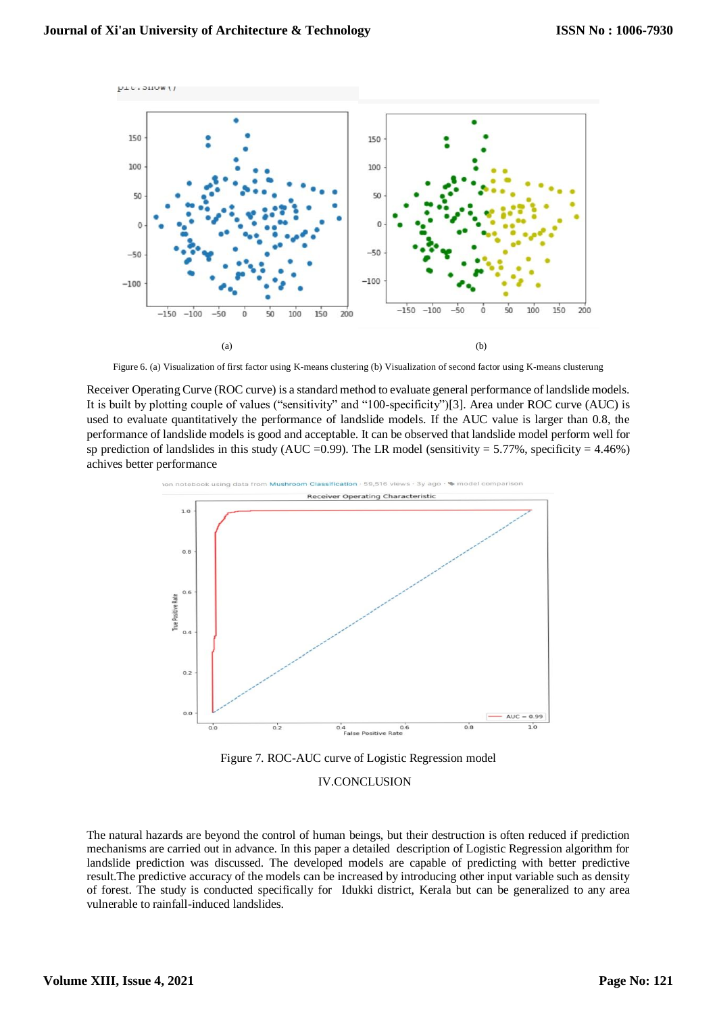

Figure 6. (a) Visualization of first factor using K-means clustering (b) Visualization of second factor using K-means clusterung

Receiver Operating Curve (ROC curve) is a standard method to evaluate general performance of landslide models. It is built by plotting couple of values ("sensitivity" and "100-specificity")[3]. Area under ROC curve (AUC) is used to evaluate quantitatively the performance of landslide models. If the AUC value is larger than 0.8, the performance of landslide models is good and acceptable. It can be observed that landslide model perform well for sp prediction of landslides in this study (AUC = 0.99). The LR model (sensitivity = 5.77%, specificity = 4.46%) achives better performance



Figure 7. ROC-AUC curve of Logistic Regression model

## IV.CONCLUSION

The natural hazards are beyond the control of human beings, but their destruction is often reduced if prediction mechanisms are carried out in advance. In this paper a detailed description of Logistic Regression algorithm for landslide prediction was discussed. The developed models are capable of predicting with better predictive result.The predictive accuracy of the models can be increased by introducing other input variable such as density of forest. The study is conducted specifically for Idukki district, Kerala but can be generalized to any area vulnerable to rainfall-induced landslides.